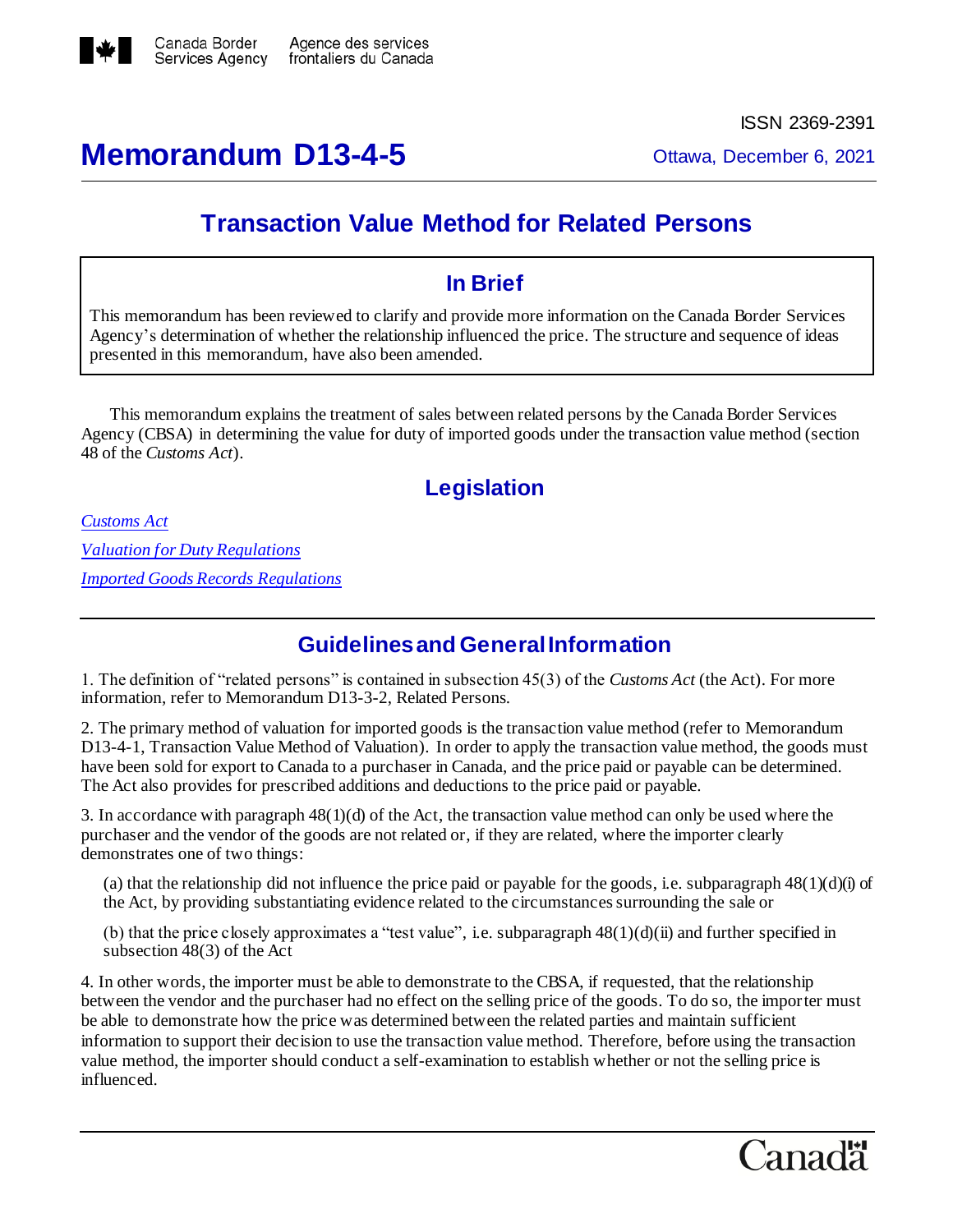

# **Memorandum D13-4-5** Ottawa, December 6, 2021

ISSN 2369-2391

## **Transaction Value Method for Related Persons**

### **In Brief**

This memorandum has been reviewed to clarify and provide more information on the Canada Border Services Agency's determination of whether the relationship influenced the price. The structure and sequence of ideas presented in this memorandum, have also been amended.

This memorandum explains the treatment of sales between related persons by the Canada Border Services Agency (CBSA) in determining the value for duty of imported goods under the transaction value method (section 48 of the *Customs Act*).

### **Legislation**

*[Customs Act](http://laws-lois.justice.gc.ca/eng/acts/C-52.6/FullText.html) [Valuation for Duty Regulations](http://laws.justice.gc.ca/eng/regulations/SOR-86-792/FullText.html) [Imported Goods Records Regulations](http://laws.justice.gc.ca/eng/regulations/SOR-86-1011/FullText.html)*

### **Guidelines and General Information**

1. The definition of "related persons" is contained in subsection 45(3) of the *Customs Act* (the Act). For more information, refer to Memorandum D13-3-2, Related Persons.

2. The primary method of valuation for imported goods is the transaction value method (refer to Memorandum D13-4-1, Transaction Value Method of Valuation). In order to apply the transaction value method, the goods must have been sold for export to Canada to a purchaser in Canada, and the price paid or payable can be determined. The Act also provides for prescribed additions and deductions to the price paid or payable.

3. In accordance with paragraph 48(1)(d) of the Act, the transaction value method can only be used where the purchaser and the vendor of the goods are not related or, if they are related, where the importer clearly demonstrates one of two things:

(a) that the relationship did not influence the price paid or payable for the goods, i.e. subparagraph  $48(1)(d)(i)$  of the Act, by providing substantiating evidence related to the circumstances surrounding the sale or

(b) that the price closely approximates a "test value", i.e. subparagraph  $48(1)(d)(ii)$  and further specified in subsection 48(3) of the Act

4. In other words, the importer must be able to demonstrate to the CBSA, if requested, that the relationship between the vendor and the purchaser had no effect on the selling price of the goods. To do so, the importer must be able to demonstrate how the price was determined between the related parties and maintain sufficient information to support their decision to use the transaction value method. Therefore, before using the transaction value method, the importer should conduct a self-examination to establish whether or not the selling price is influenced.

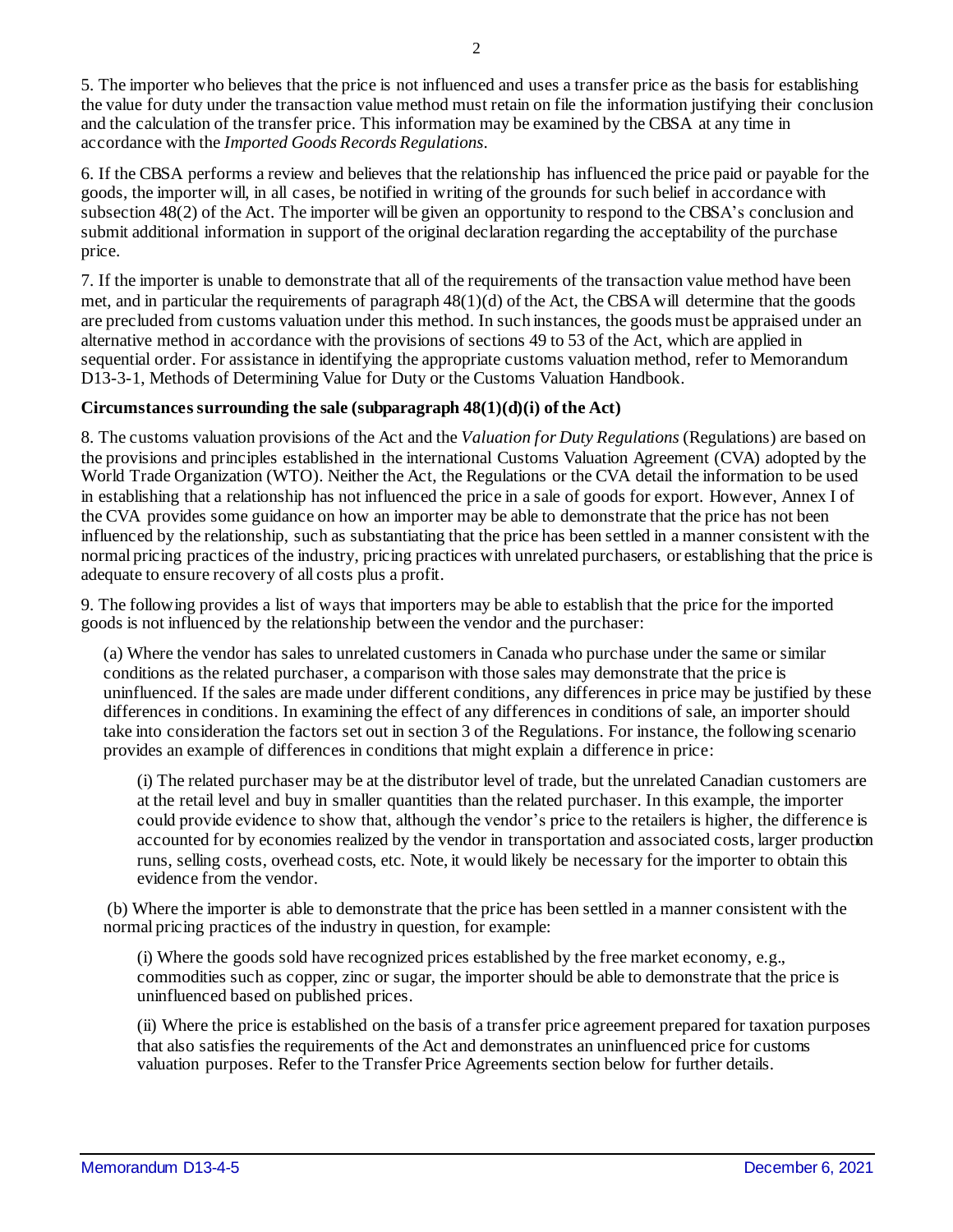5. The importer who believes that the price is not influenced and uses a transfer price as the basis for establishing the value for duty under the transaction value method must retain on file the information justifying their conclusion and the calculation of the transfer price. This information may be examined by the CBSA at any time in accordance with the *Imported Goods Records Regulations*.

6. If the CBSA performs a review and believes that the relationship has influenced the price paid or payable for the goods, the importer will, in all cases, be notified in writing of the grounds for such belief in accordance with subsection 48(2) of the Act. The importer will be given an opportunity to respond to the CBSA's conclusion and submit additional information in support of the original declaration regarding the acceptability of the purchase price.

7. If the importer is unable to demonstrate that all of the requirements of the transaction value method have been met, and in particular the requirements of paragraph  $48(1)(d)$  of the Act, the CBSA will determine that the goods are precluded from customs valuation under this method. In such instances, the goods must be appraised under an alternative method in accordance with the provisions of sections 49 to 53 of the Act, which are applied in sequential order. For assistance in identifying the appropriate customs valuation method, refer to Memorandum D13-3-1, Methods of Determining Value for Duty or the Customs Valuation Handbook.

### **Circumstances surrounding the sale (subparagraph 48(1)(d)(i) of the Act)**

8. The customs valuation provisions of the Act and the *Valuation for Duty Regulations* (Regulations) are based on the provisions and principles established in the international Customs Valuation Agreement (CVA) adopted by the World Trade Organization (WTO). Neither the Act, the Regulations or the CVA detail the information to be used in establishing that a relationship has not influenced the price in a sale of goods for export. However, Annex I of the CVA provides some guidance on how an importer may be able to demonstrate that the price has not been influenced by the relationship, such as substantiating that the price has been settled in a manner consistent with the normal pricing practices of the industry, pricing practices with unrelated purchasers, or establishing that the price is adequate to ensure recovery of all costs plus a profit.

9. The following provides a list of ways that importers may be able to establish that the price for the imported goods is not influenced by the relationship between the vendor and the purchaser:

(a) Where the vendor has sales to unrelated customers in Canada who purchase under the same or similar conditions as the related purchaser, a comparison with those sales may demonstrate that the price is uninfluenced. If the sales are made under different conditions, any differences in price may be justified by these differences in conditions. In examining the effect of any differences in conditions of sale, an importer should take into consideration the factors set out in section 3 of the Regulations. For instance, the following scenario provides an example of differences in conditions that might explain a difference in price:

(i) The related purchaser may be at the distributor level of trade, but the unrelated Canadian customers are at the retail level and buy in smaller quantities than the related purchaser. In this example, the importer could provide evidence to show that, although the vendor's price to the retailers is higher, the difference is accounted for by economies realized by the vendor in transportation and associated costs, larger production runs, selling costs, overhead costs, etc. Note, it would likely be necessary for the importer to obtain this evidence from the vendor.

(b) Where the importer is able to demonstrate that the price has been settled in a manner consistent with the normal pricing practices of the industry in question, for example:

(i) Where the goods sold have recognized prices established by the free market economy, e.g., commodities such as copper, zinc or sugar, the importer should be able to demonstrate that the price is uninfluenced based on published prices.

(ii) Where the price is established on the basis of a transfer price agreement prepared for taxation purposes that also satisfies the requirements of the Act and demonstrates an uninfluenced price for customs valuation purposes. Refer to the Transfer Price Agreements section below for further details.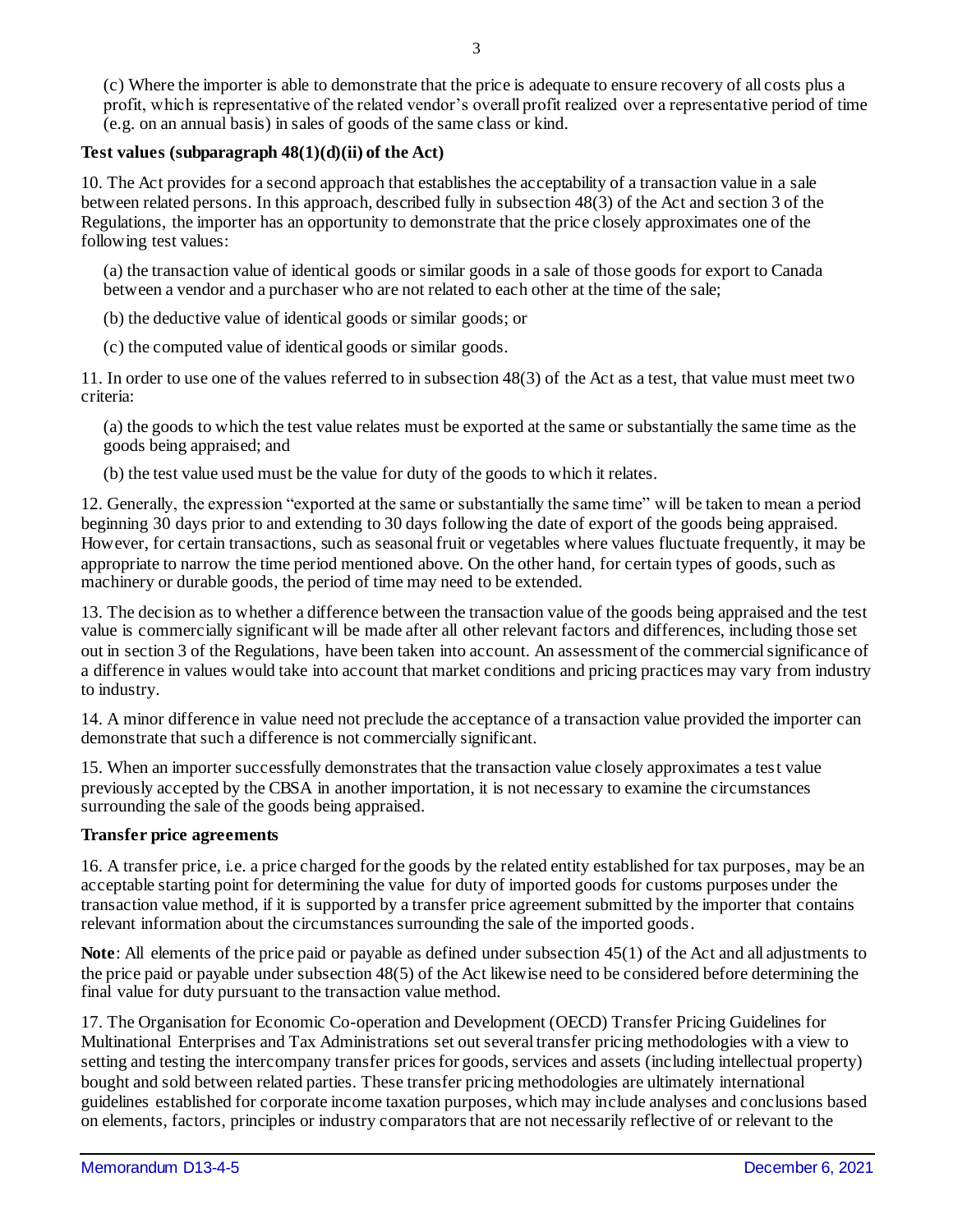(c) Where the importer is able to demonstrate that the price is adequate to ensure recovery of all costs plus a profit, which is representative of the related vendor's overall profit realized over a representative period of time (e.g. on an annual basis) in sales of goods of the same class or kind.

#### **Test values (subparagraph 48(1)(d)(ii) of the Act)**

10. The Act provides for a second approach that establishes the acceptability of a transaction value in a sale between related persons. In this approach, described fully in subsection 48(3) of the Act and section 3 of the Regulations, the importer has an opportunity to demonstrate that the price closely approximates one of the following test values:

(a) the transaction value of identical goods or similar goods in a sale of those goods for export to Canada between a vendor and a purchaser who are not related to each other at the time of the sale;

(b) the deductive value of identical goods or similar goods; or

(c) the computed value of identical goods or similar goods.

11. In order to use one of the values referred to in subsection 48(3) of the Act as a test, that value must meet two criteria:

(a) the goods to which the test value relates must be exported at the same or substantially the same time as the goods being appraised; and

(b) the test value used must be the value for duty of the goods to which it relates.

12. Generally, the expression "exported at the same or substantially the same time" will be taken to mean a period beginning 30 days prior to and extending to 30 days following the date of export of the goods being appraised. However, for certain transactions, such as seasonal fruit or vegetables where values fluctuate frequently, it may be appropriate to narrow the time period mentioned above. On the other hand, for certain types of goods, such as machinery or durable goods, the period of time may need to be extended.

13. The decision as to whether a difference between the transaction value of the goods being appraised and the test value is commercially significant will be made after all other relevant factors and differences, including those set out in section 3 of the Regulations, have been taken into account. An assessment of the commercial significance of a difference in values would take into account that market conditions and pricing practices may vary from industry to industry.

14. A minor difference in value need not preclude the acceptance of a transaction value provided the importer can demonstrate that such a difference is not commercially significant.

15. When an importer successfully demonstrates that the transaction value closely approximates a test value previously accepted by the CBSA in another importation, it is not necessary to examine the circumstances surrounding the sale of the goods being appraised.

#### **Transfer price agreements**

16. A transfer price, i.e. a price charged for the goods by the related entity established for tax purposes, may be an acceptable starting point for determining the value for duty of imported goods for customs purposes under the transaction value method, if it is supported by a transfer price agreement submitted by the importer that contains relevant information about the circumstances surrounding the sale of the imported goods.

**Note**: All elements of the price paid or payable as defined under subsection 45(1) of the Act and all adjustments to the price paid or payable under subsection 48(5) of the Act likewise need to be considered before determining the final value for duty pursuant to the transaction value method.

17. The Organisation for Economic Co-operation and Development (OECD) Transfer Pricing Guidelines for Multinational Enterprises and Tax Administrations set out several transfer pricing methodologies with a view to setting and testing the intercompany transfer prices for goods, services and assets (including intellectual property) bought and sold between related parties. These transfer pricing methodologies are ultimately international guidelines established for corporate income taxation purposes, which may include analyses and conclusions based on elements, factors, principles or industry comparators that are not necessarily reflective of or relevant to the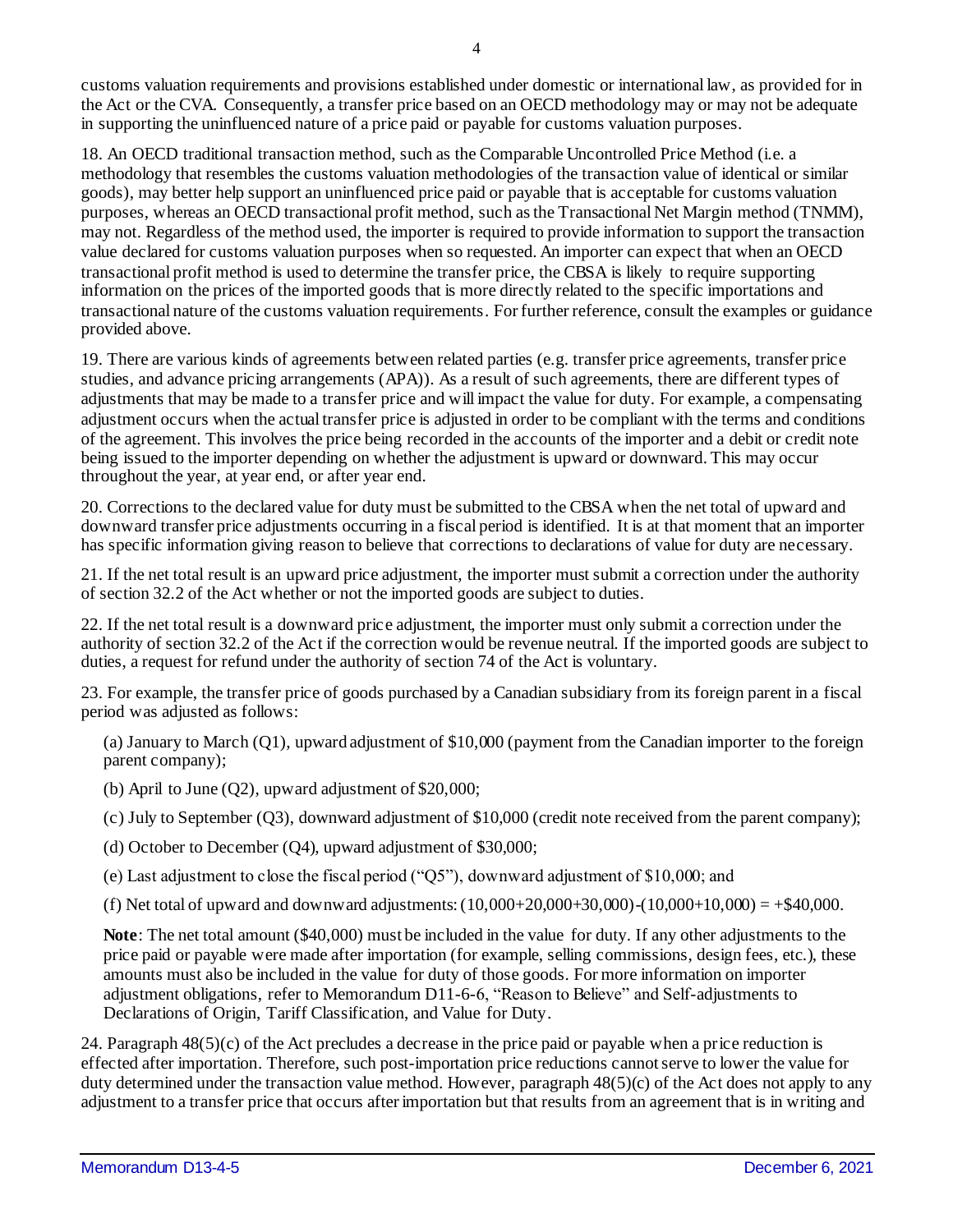customs valuation requirements and provisions established under domestic or international law, as provided for in the Act or the CVA. Consequently, a transfer price based on an OECD methodology may or may not be adequate in supporting the uninfluenced nature of a price paid or payable for customs valuation purposes.

18. An OECD traditional transaction method, such as the Comparable Uncontrolled Price Method (i.e. a methodology that resembles the customs valuation methodologies of the transaction value of identical or similar goods), may better help support an uninfluenced price paid or payable that is acceptable for customs valuation purposes, whereas an OECD transactional profit method, such as the Transactional Net Margin method (TNMM), may not. Regardless of the method used, the importer is required to provide information to support the transaction value declared for customs valuation purposes when so requested. An importer can expect that when an OECD transactional profit method is used to determine the transfer price, the CBSA is likely to require supporting information on the prices of the imported goods that is more directly related to the specific importations and transactional nature of the customs valuation requirements. For further reference, consult the examples or guidance provided above.

19. There are various kinds of agreements between related parties (e.g. transfer price agreements, transfer price studies, and advance pricing arrangements (APA)). As a result of such agreements, there are different types of adjustments that may be made to a transfer price and will impact the value for duty. For example, a compensating adjustment occurs when the actual transfer price is adjusted in order to be compliant with the terms and conditions of the agreement. This involves the price being recorded in the accounts of the importer and a debit or credit note being issued to the importer depending on whether the adjustment is upward or downward. This may occur throughout the year, at year end, or after year end.

20. Corrections to the declared value for duty must be submitted to the CBSA when the net total of upward and downward transfer price adjustments occurring in a fiscal period is identified. It is at that moment that an importer has specific information giving reason to believe that corrections to declarations of value for duty are necessary.

21. If the net total result is an upward price adjustment, the importer must submit a correction under the authority of section 32.2 of the Act whether or not the imported goods are subject to duties.

22. If the net total result is a downward price adjustment, the importer must only submit a correction under the authority of section 32.2 of the Act if the correction would be revenue neutral. If the imported goods are subject to duties, a request for refund under the authority of section 74 of the Act is voluntary.

23. For example, the transfer price of goods purchased by a Canadian subsidiary from its foreign parent in a fiscal period was adjusted as follows:

(a) January to March (Q1), upward adjustment of \$10,000 (payment from the Canadian importer to the foreign parent company);

(b) April to June (Q2), upward adjustment of \$20,000;

(c) July to September (Q3), downward adjustment of \$10,000 (credit note received from the parent company);

(d) October to December (Q4), upward adjustment of \$30,000;

(e) Last adjustment to close the fiscal period ("Q5"), downward adjustment of \$10,000; and

(f) Net total of upward and downward adjustments:  $(10,000+20,000+30,000)$ - $(10,000+10,000) = +\$40,000$ .

**Note**: The net total amount (\$40,000) must be included in the value for duty. If any other adjustments to the price paid or payable were made after importation (for example, selling commissions, design fees, etc.), these amounts must also be included in the value for duty of those goods. For more information on importer adjustment obligations, refer to Memorandum D11-6-6, "Reason to Believe" and Self-adjustments to Declarations of Origin, Tariff Classification, and Value for Duty.

24. Paragraph 48(5)(c) of the Act precludes a decrease in the price paid or payable when a price reduction is effected after importation. Therefore, such post-importation price reductions cannot serve to lower the value for duty determined under the transaction value method. However, paragraph 48(5)(c) of the Act does not apply to any adjustment to a transfer price that occurs after importation but that results from an agreement that is in writing and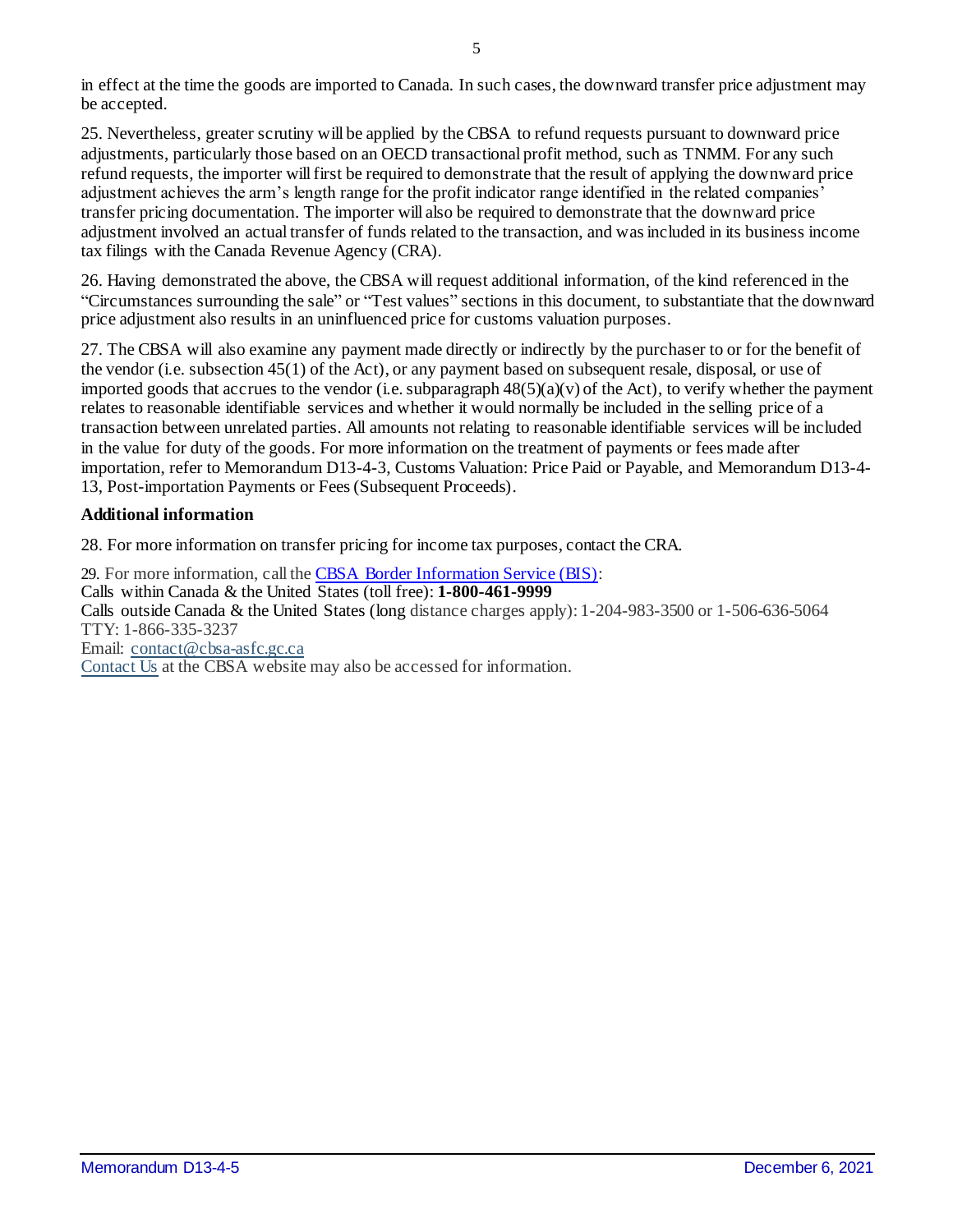in effect at the time the goods are imported to Canada. In such cases, the downward transfer price adjustment may be accepted.

25. Nevertheless, greater scrutiny will be applied by the CBSA to refund requests pursuant to downward price adjustments, particularly those based on an OECD transactional profit method, such as TNMM. For any such refund requests, the importer will first be required to demonstrate that the result of applying the downward price adjustment achieves the arm's length range for the profit indicator range identified in the related companies' transfer pricing documentation. The importer will also be required to demonstrate that the downward price adjustment involved an actual transfer of funds related to the transaction, and was included in its business income tax filings with the Canada Revenue Agency (CRA).

26. Having demonstrated the above, the CBSA will request additional information, of the kind referenced in the "Circumstances surrounding the sale" or "Test values" sections in this document, to substantiate that the downward price adjustment also results in an uninfluenced price for customs valuation purposes.

27. The CBSA will also examine any payment made directly or indirectly by the purchaser to or for the benefit of the vendor (i.e. subsection 45(1) of the Act), or any payment based on subsequent resale, disposal, or use of imported goods that accrues to the vendor (i.e. subparagraph  $48(5)(a)(v)$  of the Act), to verify whether the payment relates to reasonable identifiable services and whether it would normally be included in the selling price of a transaction between unrelated parties. All amounts not relating to reasonable identifiable services will be included in the value for duty of the goods. For more information on the treatment of payments or fees made after importation, refer to Memorandum D13-4-3, Customs Valuation: Price Paid or Payable, and Memorandum D13-4- 13, Post-importation Payments or Fees (Subsequent Proceeds).

#### **Additional information**

28. For more information on transfer pricing for income tax purposes, contact the CRA.

29. For more information, call th[e CBSA Border Information Service \(BIS\):](https://www.cbsa-asfc.gc.ca/contact/bis-sif-eng.html) Calls within Canada & the United States (toll free): **1-800-461-9999** Calls outside Canada & the United States (long distance charges apply): 1-204-983-3500 or 1-506-636-5064 TTY: 1-866-335-3237 Email: [contact@cbsa-asfc.gc.ca](mailto:contact@cbsa-asfc.gc.ca) [Contact Us](https://www.cbsa-asfc.gc.ca/contact/menu-eng.html) at the CBSA website may also be accessed for information.